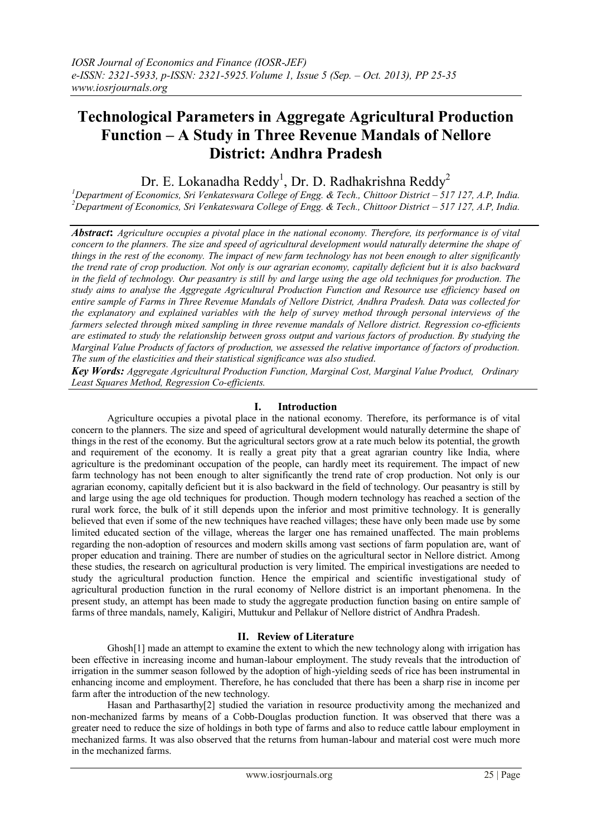# **Technological Parameters in Aggregate Agricultural Production Function – A Study in Three Revenue Mandals of Nellore District: Andhra Pradesh**

Dr. E. Lokanadha Reddy<sup>1</sup>, Dr. D. Radhakrishna Reddy<sup>2</sup>

*<sup>1</sup>Department of Economics, Sri Venkateswara College of Engg. & Tech., Chittoor District – 517 127, A.P, India. <sup>2</sup>Department of Economics, Sri Venkateswara College of Engg. & Tech., Chittoor District – 517 127, A.P, India.*

*Abstract***:** *Agriculture occupies a pivotal place in the national economy. Therefore, its performance is of vital concern to the planners. The size and speed of agricultural development would naturally determine the shape of things in the rest of the economy. The impact of new farm technology has not been enough to alter significantly the trend rate of crop production. Not only is our agrarian economy, capitally deficient but it is also backward in the field of technology. Our peasantry is still by and large using the age old techniques for production. The study aims to analyse the Aggregate Agricultural Production Function and Resource use efficiency based on entire sample of Farms in Three Revenue Mandals of Nellore District, Andhra Pradesh. Data was collected for the explanatory and explained variables with the help of survey method through personal interviews of the farmers selected through mixed sampling in three revenue mandals of Nellore district. Regression co-efficients are estimated to study the relationship between gross output and various factors of production. By studying the Marginal Value Products of factors of production, we assessed the relative importance of factors of production. The sum of the elasticities and their statistical significance was also studied*.

*Key Words: Aggregate Agricultural Production Function, Marginal Cost, Marginal Value Product, Ordinary Least Squares Method, Regression Co-efficients.*

# **I. Introduction**

Agriculture occupies a pivotal place in the national economy. Therefore, its performance is of vital concern to the planners. The size and speed of agricultural development would naturally determine the shape of things in the rest of the economy. But the agricultural sectors grow at a rate much below its potential, the growth and requirement of the economy. It is really a great pity that a great agrarian country like India, where agriculture is the predominant occupation of the people, can hardly meet its requirement. The impact of new farm technology has not been enough to alter significantly the trend rate of crop production. Not only is our agrarian economy, capitally deficient but it is also backward in the field of technology. Our peasantry is still by and large using the age old techniques for production. Though modern technology has reached a section of the rural work force, the bulk of it still depends upon the inferior and most primitive technology. It is generally believed that even if some of the new techniques have reached villages; these have only been made use by some limited educated section of the village, whereas the larger one has remained unaffected. The main problems regarding the non-adoption of resources and modern skills among vast sections of farm population are, want of proper education and training. There are number of studies on the agricultural sector in Nellore district. Among these studies, the research on agricultural production is very limited. The empirical investigations are needed to study the agricultural production function. Hence the empirical and scientific investigational study of agricultural production function in the rural economy of Nellore district is an important phenomena. In the present study, an attempt has been made to study the aggregate production function basing on entire sample of farms of three mandals, namely, Kaligiri, Muttukur and Pellakur of Nellore district of Andhra Pradesh.

## **II. Review of Literature**

Ghosh[1] made an attempt to examine the extent to which the new technology along with irrigation has been effective in increasing income and human-labour employment. The study reveals that the introduction of irrigation in the summer season followed by the adoption of high-yielding seeds of rice has been instrumental in enhancing income and employment. Therefore, he has concluded that there has been a sharp rise in income per farm after the introduction of the new technology.

Hasan and Parthasarthy<sup>[2]</sup> studied the variation in resource productivity among the mechanized and non-mechanized farms by means of a Cobb-Douglas production function. It was observed that there was a greater need to reduce the size of holdings in both type of farms and also to reduce cattle labour employment in mechanized farms. It was also observed that the returns from human-labour and material cost were much more in the mechanized farms.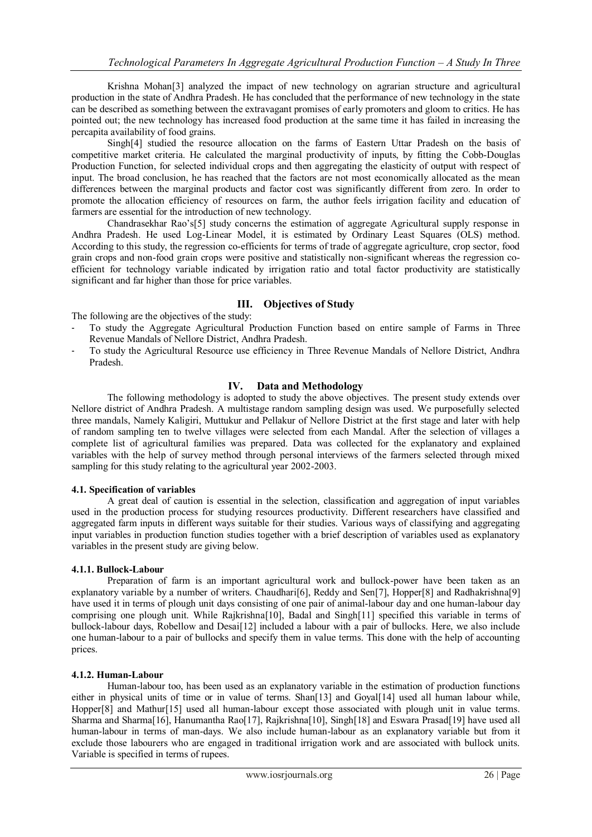Krishna Mohan[3] analyzed the impact of new technology on agrarian structure and agricultural production in the state of Andhra Pradesh. He has concluded that the performance of new technology in the state can be described as something between the extravagant promises of early promoters and gloom to critics. He has pointed out; the new technology has increased food production at the same time it has failed in increasing the percapita availability of food grains.

Singh[4] studied the resource allocation on the farms of Eastern Uttar Pradesh on the basis of competitive market criteria. He calculated the marginal productivity of inputs, by fitting the Cobb-Douglas Production Function, for selected individual crops and then aggregating the elasticity of output with respect of input. The broad conclusion, he has reached that the factors are not most economically allocated as the mean differences between the marginal products and factor cost was significantly different from zero. In order to promote the allocation efficiency of resources on farm, the author feels irrigation facility and education of farmers are essential for the introduction of new technology.

Chandrasekhar Rao's[5] study concerns the estimation of aggregate Agricultural supply response in Andhra Pradesh. He used Log-Linear Model, it is estimated by Ordinary Least Squares (OLS) method. According to this study, the regression co-efficients for terms of trade of aggregate agriculture, crop sector, food grain crops and non-food grain crops were positive and statistically non-significant whereas the regression coefficient for technology variable indicated by irrigation ratio and total factor productivity are statistically significant and far higher than those for price variables.

# **III. Objectives of Study**

The following are the objectives of the study:

- To study the Aggregate Agricultural Production Function based on entire sample of Farms in Three Revenue Mandals of Nellore District, Andhra Pradesh.
- To study the Agricultural Resource use efficiency in Three Revenue Mandals of Nellore District, Andhra Pradesh.

# **IV. Data and Methodology**

The following methodology is adopted to study the above objectives. The present study extends over Nellore district of Andhra Pradesh. A multistage random sampling design was used. We purposefully selected three mandals, Namely Kaligiri, Muttukur and Pellakur of Nellore District at the first stage and later with help of random sampling ten to twelve villages were selected from each Mandal. After the selection of villages a complete list of agricultural families was prepared. Data was collected for the explanatory and explained variables with the help of survey method through personal interviews of the farmers selected through mixed sampling for this study relating to the agricultural year 2002-2003.

## **4.1. Specification of variables**

A great deal of caution is essential in the selection, classification and aggregation of input variables used in the production process for studying resources productivity. Different researchers have classified and aggregated farm inputs in different ways suitable for their studies. Various ways of classifying and aggregating input variables in production function studies together with a brief description of variables used as explanatory variables in the present study are giving below.

#### **4.1.1. Bullock-Labour**

Preparation of farm is an important agricultural work and bullock-power have been taken as an explanatory variable by a number of writers. Chaudhari<sup>[6]</sup>, Reddy and Sen<sup>[7]</sup>, Hopper<sup>[8]</sup> and Radhakrishna<sup>[9]</sup> have used it in terms of plough unit days consisting of one pair of animal-labour day and one human-labour day comprising one plough unit. While Rajkrishna<sup>[10]</sup>, Badal and Singh<sup>[11]</sup> specified this variable in terms of bullock-labour days, Robellow and Desai[12] included a labour with a pair of bullocks. Here, we also include one human-labour to a pair of bullocks and specify them in value terms. This done with the help of accounting prices.

#### **4.1.2. Human-Labour**

Human-labour too, has been used as an explanatory variable in the estimation of production functions either in physical units of time or in value of terms. Shan[13] and Goyal[14] used all human labour while, Hopper[8] and Mathur[15] used all human-labour except those associated with plough unit in value terms. Sharma and Sharma[16], Hanumantha Rao[17], Rajkrishna[10], Singh[18] and Eswara Prasad[19] have used all human-labour in terms of man-days. We also include human-labour as an explanatory variable but from it exclude those labourers who are engaged in traditional irrigation work and are associated with bullock units. Variable is specified in terms of rupees.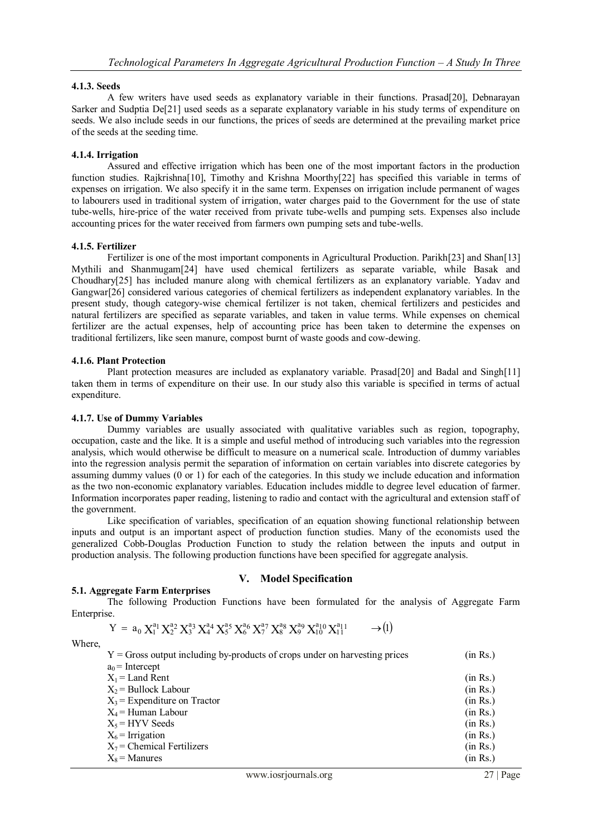## **4.1.3. Seeds**

A few writers have used seeds as explanatory variable in their functions. Prasad[20], Debnarayan Sarker and Sudptia De[21] used seeds as a separate explanatory variable in his study terms of expenditure on seeds. We also include seeds in our functions, the prices of seeds are determined at the prevailing market price of the seeds at the seeding time.

## **4.1.4. Irrigation**

Assured and effective irrigation which has been one of the most important factors in the production function studies. Rajkrishna[10], Timothy and Krishna Moorthy[22] has specified this variable in terms of expenses on irrigation. We also specify it in the same term. Expenses on irrigation include permanent of wages to labourers used in traditional system of irrigation, water charges paid to the Government for the use of state tube-wells, hire-price of the water received from private tube-wells and pumping sets. Expenses also include accounting prices for the water received from farmers own pumping sets and tube-wells.

#### **4.1.5. Fertilizer**

Fertilizer is one of the most important components in Agricultural Production. Parikh[23] and Shan[13] Mythili and Shanmugam[24] have used chemical fertilizers as separate variable, while Basak and Choudhary[25] has included manure along with chemical fertilizers as an explanatory variable. Yadav and Gangwar[26] considered various categories of chemical fertilizers as independent explanatory variables. In the present study, though category-wise chemical fertilizer is not taken, chemical fertilizers and pesticides and natural fertilizers are specified as separate variables, and taken in value terms. While expenses on chemical fertilizer are the actual expenses, help of accounting price has been taken to determine the expenses on traditional fertilizers, like seen manure, compost burnt of waste goods and cow-dewing.

## **4.1.6. Plant Protection**

Plant protection measures are included as explanatory variable. Prasad[20] and Badal and Singh[11] taken them in terms of expenditure on their use. In our study also this variable is specified in terms of actual expenditure.

## **4.1.7. Use of Dummy Variables**

Dummy variables are usually associated with qualitative variables such as region, topography, occupation, caste and the like. It is a simple and useful method of introducing such variables into the regression analysis, which would otherwise be difficult to measure on a numerical scale. Introduction of dummy variables into the regression analysis permit the separation of information on certain variables into discrete categories by assuming dummy values (0 or 1) for each of the categories. In this study we include education and information as the two non-economic explanatory variables. Education includes middle to degree level education of farmer. Information incorporates paper reading, listening to radio and contact with the agricultural and extension staff of the government.

Like specification of variables, specification of an equation showing functional relationship between inputs and output is an important aspect of production function studies. Many of the economists used the generalized Cobb-Douglas Production Function to study the relation between the inputs and output in production analysis. The following production functions have been specified for aggregate analysis.

# **5.1. Aggregate Farm Enterprises**

The following Production Functions have been formulated for the analysis of Aggregate Farm Enterprise.

**V. Model Specification**

$$
Y = a_0 X_1^{a_1} X_2^{a_2} X_3^{a_3} X_4^{a_4} X_5^{a_5} X_6^{a_6} X_7^{a_7} X_8^{a_8} X_9^{a_9} X_{10}^{a_{10}} X_{11}^{a_{11}} \longrightarrow (1)
$$

Where,

| $Y =$ Gross output including by-products of crops under on harvesting prices | (in Rs.) |
|------------------------------------------------------------------------------|----------|
| $a_0$ = Intercept                                                            |          |
| $X_1$ = Land Rent                                                            | (in Rs.) |
| $X_2$ = Bullock Labour                                                       | (in Rs.) |
| $X_3$ = Expenditure on Tractor                                               | (in Rs.) |
| $X_4$ = Human Labour                                                         | (in Rs.) |
| $X_5$ = HYV Seeds                                                            | (in Rs.) |
| $X_6$ = Irrigation                                                           | (in Rs.) |
| $X_7$ = Chemical Fertilizers                                                 | (in Rs.) |
| $X_8$ = Manures                                                              | (in Rs.) |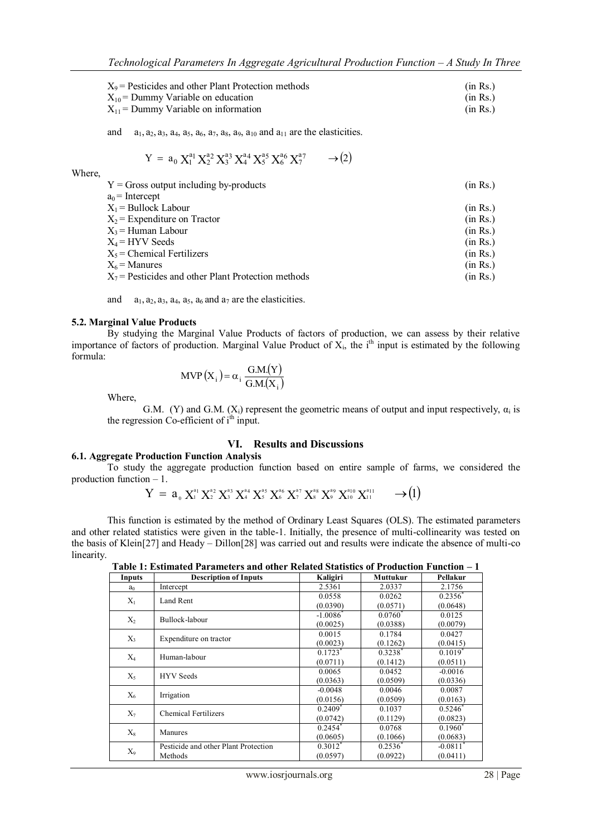| $X_9$ = Pesticides and other Plant Protection methods | (in Rs.) |
|-------------------------------------------------------|----------|
| $X_{10}$ = Dummy Variable on education                | (in Rs.) |
| $X_{11}$ = Dummy Variable on information              | (in Rs.) |

and  $a_1, a_2, a_3, a_4, a_5, a_6, a_7, a_8, a_9, a_{10}$  and  $a_{11}$  are the elasticities.

$$
Y\,=\,a_0\,X_1^{a_1}\,X_2^{a_2}\,X_3^{a_3}\,X_4^{a_4}\,X_5^{a_5}\,X_6^{a_6}\,X_7^{a_7}\qquad \to \! \big(2\big)
$$

Where,

| $Y =$ Gross output including by-products              | (in Rs.) |
|-------------------------------------------------------|----------|
| $a_0$ = Intercept                                     |          |
| $X_1$ = Bullock Labour                                | (in Rs.) |
| $X_2$ = Expenditure on Tractor                        | (in Rs.) |
| X <sub>3</sub> = Human Labour                         | (in Rs.) |
| $X_4$ = HYV Seeds                                     | (in Rs.) |
| $X_5$ = Chemical Fertilizers                          | (in Rs.) |
| $X_6$ = Manures                                       | (in Rs.) |
| $X_7$ = Pesticides and other Plant Protection methods | (in Rs.) |
|                                                       |          |

and  $a_1, a_2, a_3, a_4, a_5, a_6$  and  $a_7$  are the elasticities.

## **5.2. Marginal Value Products**

By studying the Marginal Value Products of factors of production, we can assess by their relative importance of factors of production. Marginal Value Product of  $X_i$ , the i<sup>th</sup> input is estimated by the following formula:

$$
MVP(X_i) = \alpha_i \frac{G.M.(Y)}{G.M.(X_i)}
$$

Where,

G.M. (Y) and G.M.  $(X_i)$  represent the geometric means of output and input respectively,  $\alpha_i$  is the regression  $Co$ -efficient of  $i<sup>th</sup>$  input.

## **VI. Results and Discussions**

## **6.1. Aggregate Production Function Analysis**

To study the aggregate production function based on entire sample of farms, we considered the production function – 1.

$$
Y = a_{0} X_{1}^{a_{1}} X_{2}^{a_{2}} X_{3}^{a_{3}} X_{4}^{a_{4}} X_{5}^{a_{5}} X_{6}^{a_{6}} X_{7}^{a_{7}} X_{8}^{a_{8}} X_{9}^{a_{9}} X_{10}^{a_{10}} X_{11}^{a_{11}} \longrightarrow (1)
$$

This function is estimated by the method of Ordinary Least Squares (OLS). The estimated parameters and other related statistics were given in the table-1. Initially, the presence of multi-collinearity was tested on the basis of Klein[27] and Heady – Dillon[28] was carried out and results were indicate the absence of multi-co linearity.

**Table 1: Estimated Parameters and other Related Statistics of Production Function – 1** 

| TADIC 1. ESUMARCU I AFAMEREI S ANU QUIET IXEIARCU STATISTICS OF I FOURCHOIF F UNCHOIF — I |                                      |                        |                    |            |  |  |  |
|-------------------------------------------------------------------------------------------|--------------------------------------|------------------------|--------------------|------------|--|--|--|
| Inputs                                                                                    | <b>Description of Inputs</b>         | Kaligiri               | Muttukur           | Pellakur   |  |  |  |
| $a_0$                                                                                     | Intercept                            | 2.5361                 | 2.0337             | 2.1756     |  |  |  |
| $X_1$                                                                                     | Land Rent                            | 0.0558                 | 0.0262             | $0.2356^*$ |  |  |  |
|                                                                                           |                                      | (0.0390)               | (0.0571)           | (0.0648)   |  |  |  |
| $X_2$                                                                                     | Bullock-labour                       | $-1.0086$ <sup>*</sup> | $0.0760*$          | 0.0125     |  |  |  |
|                                                                                           |                                      | (0.0025)               | (0.0388)           | (0.0079)   |  |  |  |
| $X_3$                                                                                     | Expenditure on tractor               | 0.0015                 | 0.1784             | 0.0427     |  |  |  |
|                                                                                           |                                      | (0.0023)               | (0.1262)           | (0.0415)   |  |  |  |
| $X_4$                                                                                     | Human-labour                         | $0.1723*$              | $0.3238*$          | $0.1019*$  |  |  |  |
|                                                                                           |                                      | (0.0711)               | (0.1412)           | (0.0511)   |  |  |  |
| $X_5$                                                                                     | <b>HYV</b> Seeds                     | 0.0065                 | 0.0452             | $-0.0016$  |  |  |  |
|                                                                                           |                                      | (0.0363)               | (0.0509)           | (0.0336)   |  |  |  |
| $X_6$                                                                                     | Irrigation                           | $-0.0048$              | 0.0046             | 0.0087     |  |  |  |
|                                                                                           |                                      | (0.0156)               | (0.0509)           | (0.0163)   |  |  |  |
| $X_7$                                                                                     | <b>Chemical Fertilizers</b>          | $0.2409$ <sup>*</sup>  | 0.1037             | $0.5246*$  |  |  |  |
|                                                                                           |                                      | (0.0742)               | (0.1129)           | (0.0823)   |  |  |  |
| $X_8$                                                                                     | Manures                              | 0.2454                 | 0.0768             | $0.1960^*$ |  |  |  |
|                                                                                           |                                      | (0.0605)               | (0.1066)           | (0.0683)   |  |  |  |
|                                                                                           | Pesticide and other Plant Protection | $0.3012^*$             | $0.2536^{\degree}$ | $-0.0811$  |  |  |  |
| X9                                                                                        | Methods                              | (0.0597)               | (0.0922)           | (0.0411)   |  |  |  |
|                                                                                           |                                      |                        |                    |            |  |  |  |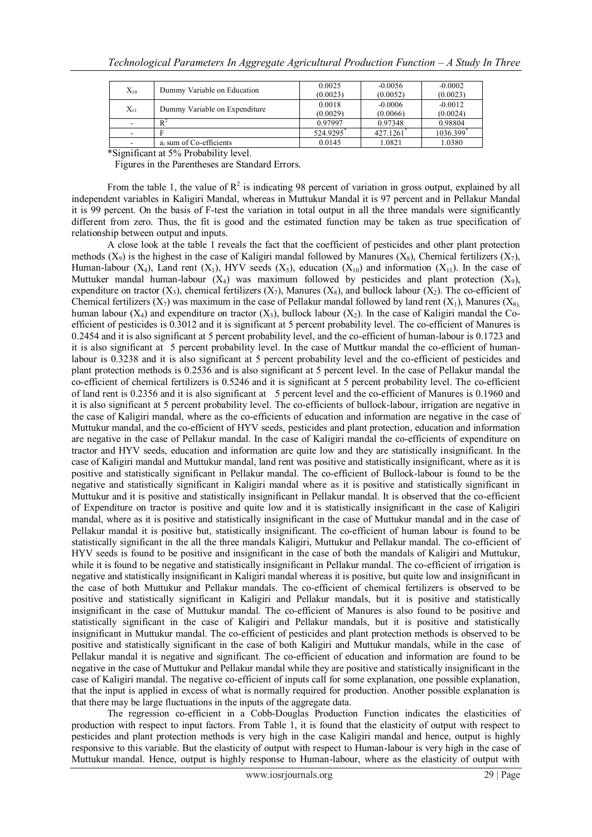| $X_{10}$ | Dummy Variable on Education   | 0.0025   | $-0.0056$ | $-0.0002$     |
|----------|-------------------------------|----------|-----------|---------------|
|          |                               | (0.0023) | (0.0052)  | (0.0023)      |
|          |                               | 0.0018   | $-0.0006$ | $-0.0012$     |
| $X_{11}$ | Dummy Variable on Expenditure | (0.0029) | (0.0066)  | (0.0024)      |
|          | $R^2$                         | 0.97997  | 0.97348   | 0.98804       |
|          |                               | 524.9295 | 427.1261  | 1036.399 $^*$ |
|          | $a_i$ sum of Co-efficients    | 0.0145   | 1.0821    | 1.0380        |

\*Significant at 5% Probability level.

Figures in the Parentheses are Standard Errors.

From the table 1, the value of  $R^2$  is indicating 98 percent of variation in gross output, explained by all independent variables in Kaligiri Mandal, whereas in Muttukur Mandal it is 97 percent and in Pellakur Mandal it is 99 percent. On the basis of F-test the variation in total output in all the three mandals were significantly different from zero. Thus, the fit is good and the estimated function may be taken as true specification of relationship between output and inputs.

A close look at the table 1 reveals the fact that the coefficient of pesticides and other plant protection methods  $(X_9)$  is the highest in the case of Kaligiri mandal followed by Manures  $(X_8)$ , Chemical fertilizers  $(X_7)$ , Human-labour (X<sub>1</sub>), Land rent (X<sub>1</sub>), HYV seeds (X<sub>5</sub>), education (X<sub>10</sub>) and information (X<sub>11</sub>). In the case of Muttuker mandal human-labour  $(X_4)$  was maximum followed by pesticides and plant protection  $(X_9)$ , expenditure on tractor  $(X_3)$ , chemical fertilizers  $(X_7)$ , Manures  $(X_8)$ , and bullock labour  $(X_2)$ . The co-efficient of Chemical fertilizers  $(X_7)$  was maximum in the case of Pellakur mandal followed by land rent  $(X_1)$ , Manures  $(X_8)$ human labour (X<sub>4</sub>) and expenditure on tractor (X<sub>3</sub>), bullock labour (X<sub>2</sub>). In the case of Kaligiri mandal the Coefficient of pesticides is 0.3012 and it is significant at 5 percent probability level. The co-efficient of Manures is 0.2454 and it is also significant at 5 percent probability level, and the co-efficient of human-labour is 0.1723 and it is also significant at 5 percent probability level. In the case of Muttkur mandal the co-efficient of humanlabour is 0.3238 and it is also significant at 5 percent probability level and the co-efficient of pesticides and plant protection methods is 0.2536 and is also significant at 5 percent level. In the case of Pellakur mandal the co-efficient of chemical fertilizers is 0.5246 and it is significant at 5 percent probability level. The co-efficient of land rent is 0.2356 and it is also significant at 5 percent level and the co-efficient of Manures is 0.1960 and it is also significant at 5 percent probability level. The co-efficients of bullock-labour, irrigation are negative in the case of Kaligiri mandal, where as the co-efficients of education and information are negative in the case of Muttukur mandal, and the co-efficient of HYV seeds, pesticides and plant protection, education and information are negative in the case of Pellakur mandal. In the case of Kaligiri mandal the co-efficients of expenditure on tractor and HYV seeds, education and information are quite low and they are statistically insignificant. In the case of Kaligiri mandal and Muttukur mandal, land rent was positive and statistically insignificant, where as it is positive and statistically significant in Pellakur mandal. The co-efficient of Bullock-labour is found to be the negative and statistically significant in Kaligiri mandal where as it is positive and statistically significant in Muttukur and it is positive and statistically insignificant in Pellakur mandal. It is observed that the co-efficient of Expenditure on tractor is positive and quite low and it is statistically insignificant in the case of Kaligiri mandal, where as it is positive and statistically insignificant in the case of Muttukur mandal and in the case of Pellakur mandal it is positive but, statistically insignificant. The co-efficient of human labour is found to be statistically significant in the all the three mandals Kaligiri, Muttukur and Pellakur mandal. The co-efficient of HYV seeds is found to be positive and insignificant in the case of both the mandals of Kaligiri and Muttukur, while it is found to be negative and statistically insignificant in Pellakur mandal. The co-efficient of irrigation is negative and statistically insignificant in Kaligiri mandal whereas it is positive, but quite low and insignificant in the case of both Muttukur and Pellakur mandals. The co-efficient of chemical fertilizers is observed to be positive and statistically significant in Kaligiri and Pellakur mandals, but it is positive and statistically insignificant in the case of Muttukur mandal. The co-efficient of Manures is also found to be positive and statistically significant in the case of Kaligiri and Pellakur mandals, but it is positive and statistically insignificant in Muttukur mandal. The co-efficient of pesticides and plant protection methods is observed to be positive and statistically significant in the case of both Kaligiri and Muttukur mandals, while in the case of Pellakur mandal it is negative and significant. The co-efficient of education and information are found to be negative in the case of Muttukur and Pellakur mandal while they are positive and statistically insignificant in the case of Kaligiri mandal. The negative co-efficient of inputs call for some explanation, one possible explanation, that the input is applied in excess of what is normally required for production. Another possible explanation is that there may be large fluctuations in the inputs of the aggregate data.

The regression co-efficient in a Cobb-Douglas Production Function indicates the elasticities of production with respect to input factors. From Table 1, it is found that the elasticity of output with respect to pesticides and plant protection methods is very high in the case Kaligiri mandal and hence, output is highly responsive to this variable. But the elasticity of output with respect to Human-labour is very high in the case of Muttukur mandal. Hence, output is highly response to Human-labour, where as the elasticity of output with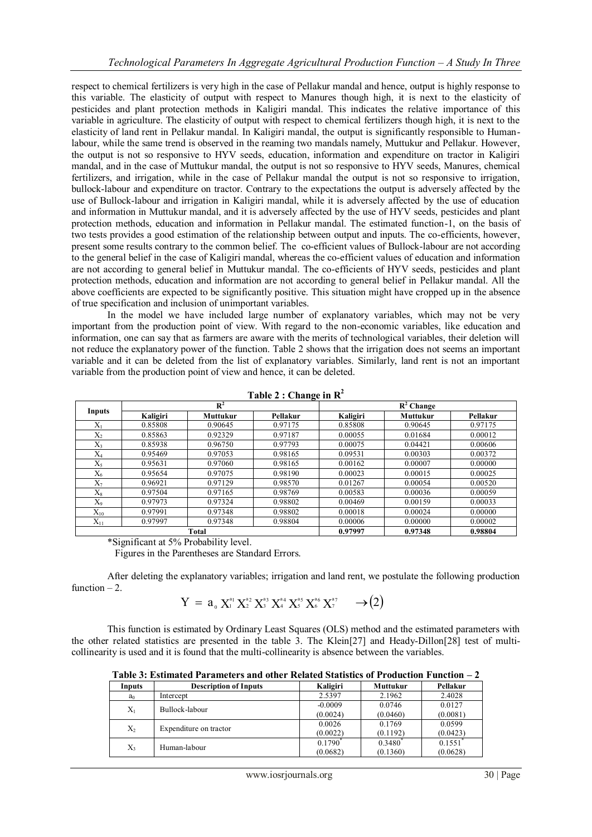respect to chemical fertilizers is very high in the case of Pellakur mandal and hence, output is highly response to this variable. The elasticity of output with respect to Manures though high, it is next to the elasticity of pesticides and plant protection methods in Kaligiri mandal. This indicates the relative importance of this variable in agriculture. The elasticity of output with respect to chemical fertilizers though high, it is next to the elasticity of land rent in Pellakur mandal. In Kaligiri mandal, the output is significantly responsible to Humanlabour, while the same trend is observed in the reaming two mandals namely, Muttukur and Pellakur. However, the output is not so responsive to HYV seeds, education, information and expenditure on tractor in Kaligiri mandal, and in the case of Muttukur mandal, the output is not so responsive to HYV seeds, Manures, chemical fertilizers, and irrigation, while in the case of Pellakur mandal the output is not so responsive to irrigation, bullock-labour and expenditure on tractor. Contrary to the expectations the output is adversely affected by the use of Bullock-labour and irrigation in Kaligiri mandal, while it is adversely affected by the use of education and information in Muttukur mandal, and it is adversely affected by the use of HYV seeds, pesticides and plant protection methods, education and information in Pellakur mandal. The estimated function-1, on the basis of two tests provides a good estimation of the relationship between output and inputs. The co-efficients, however, present some results contrary to the common belief. The co-efficient values of Bullock-labour are not according to the general belief in the case of Kaligiri mandal, whereas the co-efficient values of education and information are not according to general belief in Muttukur mandal. The co-efficients of HYV seeds, pesticides and plant protection methods, education and information are not according to general belief in Pellakur mandal. All the above coefficients are expected to be significantly positive. This situation might have cropped up in the absence of true specification and inclusion of unimportant variables.

In the model we have included large number of explanatory variables, which may not be very important from the production point of view. With regard to the non-economic variables, like education and information, one can say that as farmers are aware with the merits of technological variables, their deletion will not reduce the explanatory power of the function. Table 2 shows that the irrigation does not seems an important variable and it can be deleted from the list of explanatory variables. Similarly, land rent is not an important variable from the production point of view and hence, it can be deleted.

|              |                 | $\mathbb{R}^2$  |          |          | $\overline{R}^2$ Change |          |
|--------------|-----------------|-----------------|----------|----------|-------------------------|----------|
| Inputs       | <b>Kaligiri</b> | <b>Muttukur</b> | Pellakur | Kaligiri | <b>Muttukur</b>         | Pellakur |
| $X_1$        | 0.85808         | 0.90645         | 0.97175  | 0.85808  | 0.90645                 | 0.97175  |
| $X_2$        | 0.85863         | 0.92329         | 0.97187  | 0.00055  | 0.01684                 | 0.00012  |
| $X_3$        | 0.85938         | 0.96750         | 0.97793  | 0.00075  | 0.04421                 | 0.00606  |
| $X_4$        | 0.95469         | 0.97053         | 0.98165  | 0.09531  | 0.00303                 | 0.00372  |
| $X_5$        | 0.95631         | 0.97060         | 0.98165  | 0.00162  | 0.00007                 | 0.00000  |
| $X_6$        | 0.95654         | 0.97075         | 0.98190  | 0.00023  | 0.00015                 | 0.00025  |
| $X_7$        | 0.96921         | 0.97129         | 0.98570  | 0.01267  | 0.00054                 | 0.00520  |
| $X_8$        | 0.97504         | 0.97165         | 0.98769  | 0.00583  | 0.00036                 | 0.00059  |
| $X_9$        | 0.97973         | 0.97324         | 0.98802  | 0.00469  | 0.00159                 | 0.00033  |
| $\rm X_{10}$ | 0.97991         | 0.97348         | 0.98802  | 0.00018  | 0.00024                 | 0.00000  |
| $X_{11}$     | 0.97997         | 0.97348         | 0.98804  | 0.00006  | 0.00000                 | 0.00002  |
|              |                 | Total           |          | 0.97997  | 0.97348                 | 0.98804  |

**Table 2 : Change in R<sup>2</sup>**

\*Significant at 5% Probability level.

Figures in the Parentheses are Standard Errors.

After deleting the explanatory variables; irrigation and land rent, we postulate the following production function  $-2$ .

$$
Y = a_{0} X_{1}^{a_{1}} X_{2}^{a_{2}} X_{3}^{a_{3}} X_{4}^{a_{4}} X_{5}^{a_{5}} X_{6}^{a_{6}} X_{7}^{a_{7}} \longrightarrow (2)
$$

This function is estimated by Ordinary Least Squares (OLS) method and the estimated parameters with the other related statistics are presented in the table 3. The Klein[27] and Heady-Dillon[28] test of multicollinearity is used and it is found that the multi-collinearity is absence between the variables.

**Table 3: Estimated Parameters and other Related Statistics of Production Function – 2**

| Inputs         | <b>Description of Inputs</b> | Kaligiri                       | Muttukur           | Pellakur           |
|----------------|------------------------------|--------------------------------|--------------------|--------------------|
| a <sub>0</sub> | Intercept                    | 2.5397                         | 2.1962             | 2.4028             |
| $X_1$          | Bullock-labour               | $-0.0009$<br>(0.0024)          | 0.0746<br>(0.0460) | 0.0127<br>(0.0081) |
| $X_2$          | Expenditure on tractor       | 0.0026<br>(0.0022)             | 0.1769<br>(0.1192) | 0.0599<br>(0.0423) |
| X3             | Human-labour                 | $0.1790^{\degree}$<br>(0.0682) | 0.3480<br>(0.1360) | 0.1551<br>(0.0628) |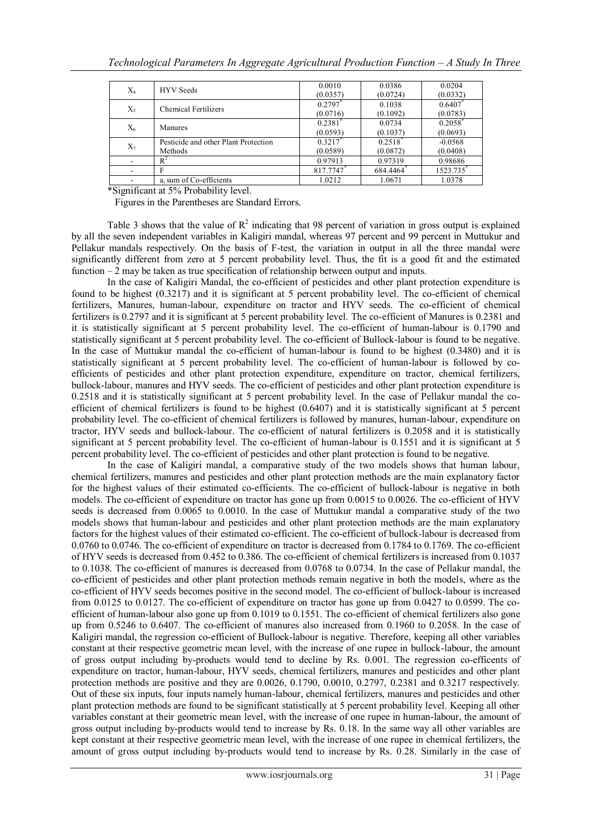| $X_4$ | <b>HYV</b> Seeds                                | 0.0010<br>(0.0357)                | 0.0386<br>(0.0724)     | 0.0204<br>(0.0332)    |
|-------|-------------------------------------------------|-----------------------------------|------------------------|-----------------------|
| $X_5$ | Chemical Fertilizers                            | 0.2797<br>(0.0716)                | 0.1038<br>(0.1092)     | 0.6407<br>(0.0783)    |
| $X_6$ | Manures                                         | $0.2381$ <sup>*</sup><br>(0.0593) | 0.0734<br>(0.1037)     | $0.2058*$<br>(0.0693) |
| $X_7$ | Pesticide and other Plant Protection<br>Methods | 0.3217<br>(0.0589)                | $0.2518^*$<br>(0.0872) | $-0.0568$<br>(0.0408) |
|       | $R^2$                                           | 0.97913                           | 0.97319                | 0.98686               |
|       | F                                               | 817.7747*                         | 684.4464*              | 1523.735*             |
|       | $a_i$ sum of Co-efficients                      | 1.0212                            | 1.0671                 | 1.0378                |

\*Significant at 5% Probability level.

Figures in the Parentheses are Standard Errors.

Table 3 shows that the value of  $R^2$  indicating that 98 percent of variation in gross output is explained by all the seven independent variables in Kaligiri mandal, whereas 97 percent and 99 percent in Muttukur and Pellakur mandals respectively. On the basis of F-test, the variation in output in all the three mandal were significantly different from zero at 5 percent probability level. Thus, the fit is a good fit and the estimated function  $-2$  may be taken as true specification of relationship between output and inputs.

In the case of Kaligiri Mandal, the co-efficient of pesticides and other plant protection expenditure is found to be highest (0.3217) and it is significant at 5 percent probability level. The co-efficient of chemical fertilizers, Manures, human-labour, expenditure on tractor and HYV seeds. The co-efficient of chemical fertilizers is 0.2797 and it is significant at 5 percent probability level. The co-efficient of Manures is 0.2381 and it is statistically significant at 5 percent probability level. The co-efficient of human-labour is 0.1790 and statistically significant at 5 percent probability level. The co-efficient of Bullock-labour is found to be negative. In the case of Muttukur mandal the co-efficient of human-labour is found to be highest (0.3480) and it is statistically significant at 5 percent probability level. The co-efficient of human-labour is followed by coefficients of pesticides and other plant protection expenditure, expenditure on tractor, chemical fertilizers, bullock-labour, manures and HYV seeds. The co-efficient of pesticides and other plant protection expenditure is 0.2518 and it is statistically significant at 5 percent probability level. In the case of Pellakur mandal the coefficient of chemical fertilizers is found to be highest (0.6407) and it is statistically significant at 5 percent probability level. The co-efficient of chemical fertilizers is followed by manures, human-labour, expenditure on tractor, HYV seeds and bullock-labour. The co-efficient of natural fertilizers is 0.2058 and it is statistically significant at 5 percent probability level. The co-efficient of human-labour is 0.1551 and it is significant at 5 percent probability level. The co-efficient of pesticides and other plant protection is found to be negative.

In the case of Kaligiri mandal, a comparative study of the two models shows that human labour, chemical fertilizers, manures and pesticides and other plant protection methods are the main explanatory factor for the highest values of their estimated co-efficients. The co-efficient of bullock-labour is negative in both models. The co-efficient of expenditure on tractor has gone up from 0.0015 to 0.0026. The co-efficient of HYV seeds is decreased from 0.0065 to 0.0010. In the case of Muttukur mandal a comparative study of the two models shows that human-labour and pesticides and other plant protection methods are the main explanatory factors for the highest values of their estimated co-efficient. The co-efficient of bullock-labour is decreased from 0.0760 to 0.0746. The co-efficient of expenditure on tractor is decreased from 0.1784 to 0.1769. The co-efficient of HYV seeds is decreased from 0.452 to 0.386. The co-efficient of chemical fertilizers is increased from 0.1037 to 0.1038. The co-efficient of manures is decreased from 0.0768 to 0.0734. In the case of Pellakur mandal, the co-efficient of pesticides and other plant protection methods remain negative in both the models, where as the co-efficient of HYV seeds becomes positive in the second model. The co-efficient of bullock-labour is increased from 0.0125 to 0.0127. The co-efficient of expenditure on tractor has gone up from 0.0427 to 0.0599. The coefficient of human-labour also gone up from 0.1019 to 0.1551. The co-efficient of chemical fertilizers also gone up from 0.5246 to 0.6407. The co-efficient of manures also increased from 0.1960 to 0.2058. In the case of Kaligiri mandal, the regression co-efficient of Bullock-labour is negative. Therefore, keeping all other variables constant at their respective geometric mean level, with the increase of one rupee in bullock-labour, the amount of gross output including by-products would tend to decline by Rs. 0.001. The regression co-efficents of expenditure on tractor, human-labour, HYV seeds, chemical fertilizers, manures and pesticides and other plant protection methods are positive and they are 0.0026, 0.1790, 0.0010, 0.2797, 0.2381 and 0.3217 respectively. Out of these six inputs, four inputs namely human-labour, chemical fertilizers, manures and pesticides and other plant protection methods are found to be significant statistically at 5 percent probability level. Keeping all other variables constant at their geometric mean level, with the increase of one rupee in human-labour, the amount of gross output including by-products would tend to increase by Rs. 0.18. In the same way all other variables are kept constant at their respective geometric mean level, with the increase of one rupee in chemical fertilizers, the amount of gross output including by-products would tend to increase by Rs. 0.28. Similarly in the case of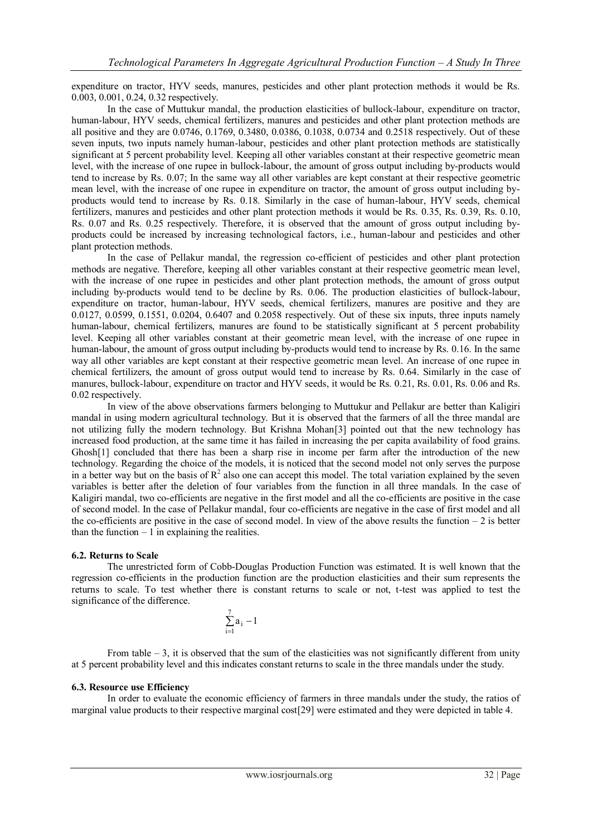expenditure on tractor, HYV seeds, manures, pesticides and other plant protection methods it would be Rs. 0.003, 0.001, 0.24, 0.32 respectively.

In the case of Muttukur mandal, the production elasticities of bullock-labour, expenditure on tractor, human-labour, HYV seeds, chemical fertilizers, manures and pesticides and other plant protection methods are all positive and they are 0.0746, 0.1769, 0.3480, 0.0386, 0.1038, 0.0734 and 0.2518 respectively. Out of these seven inputs, two inputs namely human-labour, pesticides and other plant protection methods are statistically significant at 5 percent probability level. Keeping all other variables constant at their respective geometric mean level, with the increase of one rupee in bullock-labour, the amount of gross output including by-products would tend to increase by Rs. 0.07; In the same way all other variables are kept constant at their respective geometric mean level, with the increase of one rupee in expenditure on tractor, the amount of gross output including byproducts would tend to increase by Rs. 0.18. Similarly in the case of human-labour, HYV seeds, chemical fertilizers, manures and pesticides and other plant protection methods it would be Rs. 0.35, Rs. 0.39, Rs. 0.10, Rs. 0.07 and Rs. 0.25 respectively. Therefore, it is observed that the amount of gross output including byproducts could be increased by increasing technological factors, i.e., human-labour and pesticides and other plant protection methods.

In the case of Pellakur mandal, the regression co-efficient of pesticides and other plant protection methods are negative. Therefore, keeping all other variables constant at their respective geometric mean level, with the increase of one rupee in pesticides and other plant protection methods, the amount of gross output including by-products would tend to be decline by Rs. 0.06. The production elasticities of bullock-labour, expenditure on tractor, human-labour, HYV seeds, chemical fertilizers, manures are positive and they are 0.0127, 0.0599, 0.1551, 0.0204, 0.6407 and 0.2058 respectively. Out of these six inputs, three inputs namely human-labour, chemical fertilizers, manures are found to be statistically significant at 5 percent probability level. Keeping all other variables constant at their geometric mean level, with the increase of one rupee in human-labour, the amount of gross output including by-products would tend to increase by Rs. 0.16. In the same way all other variables are kept constant at their respective geometric mean level. An increase of one rupee in chemical fertilizers, the amount of gross output would tend to increase by Rs. 0.64. Similarly in the case of manures, bullock-labour, expenditure on tractor and HYV seeds, it would be Rs. 0.21, Rs. 0.01, Rs. 0.06 and Rs. 0.02 respectively.

In view of the above observations farmers belonging to Muttukur and Pellakur are better than Kaligiri mandal in using modern agricultural technology. But it is observed that the farmers of all the three mandal are not utilizing fully the modern technology. But Krishna Mohan[3] pointed out that the new technology has increased food production, at the same time it has failed in increasing the per capita availability of food grains. Ghosh[1] concluded that there has been a sharp rise in income per farm after the introduction of the new technology. Regarding the choice of the models, it is noticed that the second model not only serves the purpose in a better way but on the basis of  $R^2$  also one can accept this model. The total variation explained by the seven variables is better after the deletion of four variables from the function in all three mandals. In the case of Kaligiri mandal, two co-efficients are negative in the first model and all the co-efficients are positive in the case of second model. In the case of Pellakur mandal, four co-efficients are negative in the case of first model and all the co-efficients are positive in the case of second model. In view of the above results the function  $-2$  is better than the function  $-1$  in explaining the realities.

## **6.2. Returns to Scale**

The unrestricted form of Cobb-Douglas Production Function was estimated. It is well known that the regression co-efficients in the production function are the production elasticities and their sum represents the returns to scale. To test whether there is constant returns to scale or not, t-test was applied to test the significance of the difference.

$$
\sum_{i=1}^7 a_i - \!1
$$

From table  $-3$ , it is observed that the sum of the elasticities was not significantly different from unity at 5 percent probability level and this indicates constant returns to scale in the three mandals under the study.

#### **6.3. Resource use Efficiency**

In order to evaluate the economic efficiency of farmers in three mandals under the study, the ratios of marginal value products to their respective marginal cost[29] were estimated and they were depicted in table 4.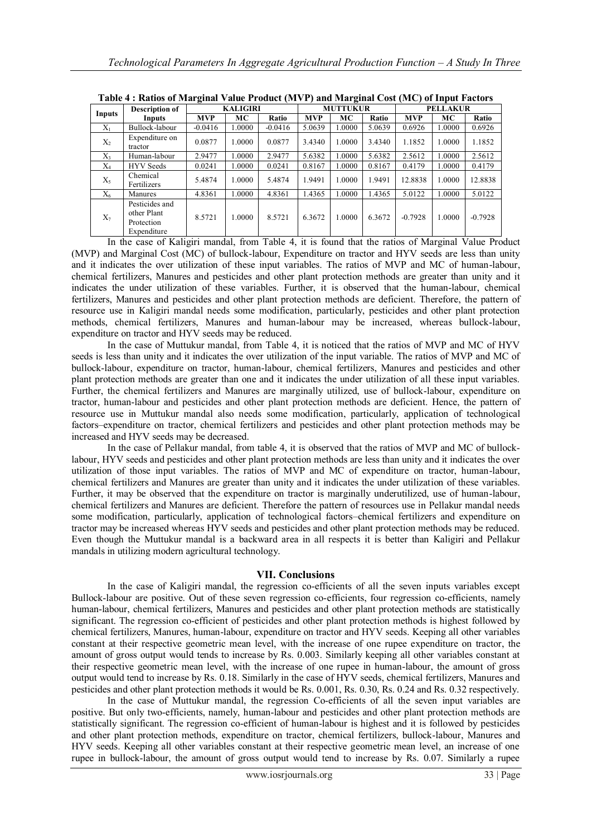|        | Tabic 4, Katios of Marginar Value I Founce (MIVI) and Marginal Cost (MC) of Hiput Pactors |                 |        |                 |        |        |                 |            |        |           |
|--------|-------------------------------------------------------------------------------------------|-----------------|--------|-----------------|--------|--------|-----------------|------------|--------|-----------|
|        | <b>Description of</b>                                                                     | <b>KALIGIRI</b> |        | <b>MUTTUKUR</b> |        |        | <b>PELLAKUR</b> |            |        |           |
| Inputs | Inputs                                                                                    | <b>MVP</b>      | MC     | Ratio           | MVP    | МC     | Ratio           | <b>MVP</b> | МC     | Ratio     |
| $X_1$  | Bullock-labour                                                                            | $-0.0416$       | 1.0000 | $-0.0416$       | 5.0639 | 1.0000 | 5.0639          | 0.6926     | 1.0000 | 0.6926    |
| $X_2$  | Expenditure on<br>tractor                                                                 | 0.0877          | 1.0000 | 0.0877          | 3.4340 | 1.0000 | 3.4340          | 1.1852     | 1.0000 | 1.1852    |
| $X_3$  | Human-labour                                                                              | 2.9477          | 1.0000 | 2.9477          | 5.6382 | 1.0000 | 5.6382          | 2.5612     | 1.0000 | 2.5612    |
| $X_4$  | <b>HYV</b> Seeds                                                                          | 0.0241          | 1.0000 | 0.0241          | 0.8167 | 1.0000 | 0.8167          | 0.4179     | 1.0000 | 0.4179    |
| $X_5$  | Chemical<br>Fertilizers                                                                   | 5.4874          | 1.0000 | 5.4874          | 1.9491 | 1.0000 | 1.9491          | 12.8838    | 1.0000 | 12.8838   |
| $X_6$  | Manures                                                                                   | 4.8361          | 1.0000 | 4.8361          | 1.4365 | 1.0000 | 1.4365          | 5.0122     | 1.0000 | 5.0122    |
| $X_7$  | Pesticides and<br>other Plant<br>Protection<br>Expenditure                                | 8.5721          | 1.0000 | 8.5721          | 6.3672 | 1.0000 | 6.3672          | $-0.7928$  | 1.0000 | $-0.7928$ |

**Table 4 : Ratios of Marginal Value Product (MVP) and Marginal Cost (MC) of Input Factors**

In the case of Kaligiri mandal, from Table 4, it is found that the ratios of Marginal Value Product (MVP) and Marginal Cost (MC) of bullock-labour, Expenditure on tractor and HYV seeds are less than unity and it indicates the over utilization of these input variables. The ratios of MVP and MC of human-labour, chemical fertilizers, Manures and pesticides and other plant protection methods are greater than unity and it indicates the under utilization of these variables. Further, it is observed that the human-labour, chemical fertilizers, Manures and pesticides and other plant protection methods are deficient. Therefore, the pattern of resource use in Kaligiri mandal needs some modification, particularly, pesticides and other plant protection methods, chemical fertilizers, Manures and human-labour may be increased, whereas bullock-labour, expenditure on tractor and HYV seeds may be reduced.

In the case of Muttukur mandal, from Table 4, it is noticed that the ratios of MVP and MC of HYV seeds is less than unity and it indicates the over utilization of the input variable. The ratios of MVP and MC of bullock-labour, expenditure on tractor, human-labour, chemical fertilizers, Manures and pesticides and other plant protection methods are greater than one and it indicates the under utilization of all these input variables. Further, the chemical fertilizers and Manures are marginally utilized, use of bullock-labour, expenditure on tractor, human-labour and pesticides and other plant protection methods are deficient. Hence, the pattern of resource use in Muttukur mandal also needs some modification, particularly, application of technological factors–expenditure on tractor, chemical fertilizers and pesticides and other plant protection methods may be increased and HYV seeds may be decreased.

In the case of Pellakur mandal, from table 4, it is observed that the ratios of MVP and MC of bullocklabour, HYV seeds and pesticides and other plant protection methods are less than unity and it indicates the over utilization of those input variables. The ratios of MVP and MC of expenditure on tractor, human-labour, chemical fertilizers and Manures are greater than unity and it indicates the under utilization of these variables. Further, it may be observed that the expenditure on tractor is marginally underutilized, use of human-labour, chemical fertilizers and Manures are deficient. Therefore the pattern of resources use in Pellakur mandal needs some modification, particularly, application of technological factors–chemical fertilizers and expenditure on tractor may be increased whereas HYV seeds and pesticides and other plant protection methods may be reduced. Even though the Muttukur mandal is a backward area in all respects it is better than Kaligiri and Pellakur mandals in utilizing modern agricultural technology.

## **VII. Conclusions**

In the case of Kaligiri mandal, the regression co-efficients of all the seven inputs variables except Bullock-labour are positive. Out of these seven regression co-efficients, four regression co-efficients, namely human-labour, chemical fertilizers, Manures and pesticides and other plant protection methods are statistically significant. The regression co-efficient of pesticides and other plant protection methods is highest followed by chemical fertilizers, Manures, human-labour, expenditure on tractor and HYV seeds. Keeping all other variables constant at their respective geometric mean level, with the increase of one rupee expenditure on tractor, the amount of gross output would tends to increase by Rs. 0.003. Similarly keeping all other variables constant at their respective geometric mean level, with the increase of one rupee in human-labour, the amount of gross output would tend to increase by Rs. 0.18. Similarly in the case of HYV seeds, chemical fertilizers, Manures and pesticides and other plant protection methods it would be Rs. 0.001, Rs. 0.30, Rs. 0.24 and Rs. 0.32 respectively.

In the case of Muttukur mandal, the regression Co-efficients of all the seven input variables are positive. But only two-efficients, namely, human-labour and pesticides and other plant protection methods are statistically significant. The regression co-efficient of human-labour is highest and it is followed by pesticides and other plant protection methods, expenditure on tractor, chemical fertilizers, bullock-labour, Manures and HYV seeds. Keeping all other variables constant at their respective geometric mean level, an increase of one rupee in bullock-labour, the amount of gross output would tend to increase by Rs. 0.07. Similarly a rupee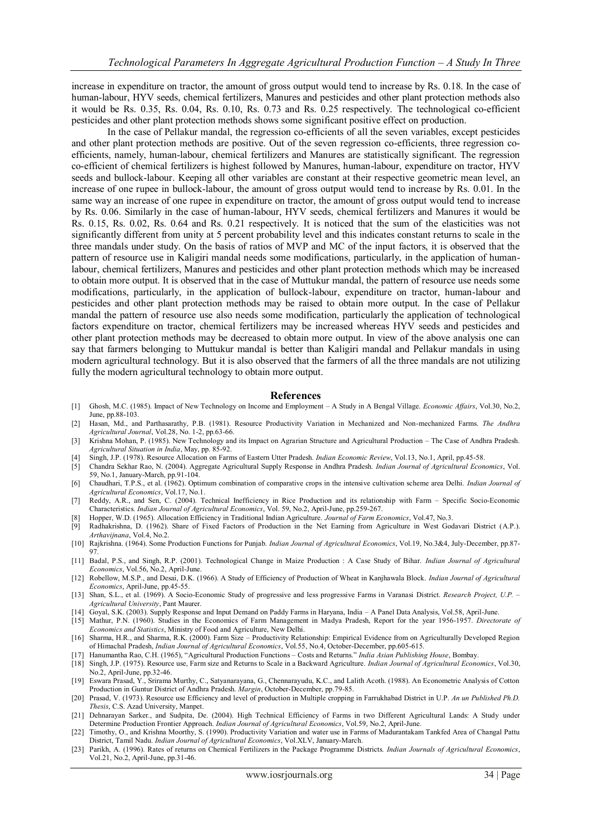increase in expenditure on tractor, the amount of gross output would tend to increase by Rs. 0.18. In the case of human-labour, HYV seeds, chemical fertilizers, Manures and pesticides and other plant protection methods also it would be Rs. 0.35, Rs. 0.04, Rs. 0.10, Rs. 0.73 and Rs. 0.25 respectively. The technological co-efficient pesticides and other plant protection methods shows some significant positive effect on production.

In the case of Pellakur mandal, the regression co-efficients of all the seven variables, except pesticides and other plant protection methods are positive. Out of the seven regression co-efficients, three regression coefficients, namely, human-labour, chemical fertilizers and Manures are statistically significant. The regression co-efficient of chemical fertilizers is highest followed by Manures, human-labour, expenditure on tractor, HYV seeds and bullock-labour. Keeping all other variables are constant at their respective geometric mean level, an increase of one rupee in bullock-labour, the amount of gross output would tend to increase by Rs. 0.01. In the same way an increase of one rupee in expenditure on tractor, the amount of gross output would tend to increase by Rs. 0.06. Similarly in the case of human-labour, HYV seeds, chemical fertilizers and Manures it would be Rs. 0.15, Rs. 0.02, Rs. 0.64 and Rs. 0.21 respectively. It is noticed that the sum of the elasticities was not significantly different from unity at 5 percent probability level and this indicates constant returns to scale in the three mandals under study. On the basis of ratios of MVP and MC of the input factors, it is observed that the pattern of resource use in Kaligiri mandal needs some modifications, particularly, in the application of humanlabour, chemical fertilizers, Manures and pesticides and other plant protection methods which may be increased to obtain more output. It is observed that in the case of Muttukur mandal, the pattern of resource use needs some modifications, particularly, in the application of bullock-labour, expenditure on tractor, human-labour and pesticides and other plant protection methods may be raised to obtain more output. In the case of Pellakur mandal the pattern of resource use also needs some modification, particularly the application of technological factors expenditure on tractor, chemical fertilizers may be increased whereas HYV seeds and pesticides and other plant protection methods may be decreased to obtain more output. In view of the above analysis one can say that farmers belonging to Muttukur mandal is better than Kaligiri mandal and Pellakur mandals in using modern agricultural technology. But it is also observed that the farmers of all the three mandals are not utilizing fully the modern agricultural technology to obtain more output.

#### **References**

- [1] Ghosh, M.C. (1985). Impact of New Technology on Income and Employment A Study in A Bengal Village. *Economic Affairs*, Vol.30, No.2, June, pp.88-103.
- [2] Hasan, Md., and Parthasarathy, P.B. (1981). Resource Productivity Variation in Mechanized and Non-mechanized Farms. *The Andhra Agricultural Journal*, Vol.28, No. 1-2, pp.63-66.
- [3] Krishna Mohan, P. (1985). New Technology and its Impact on Agrarian Structure and Agricultural Production The Case of Andhra Pradesh. *Agricultural Situation in India*, May, pp. 85-92.
- [4] Singh, J.P. (1978). Resource Allocation on Farms of Eastern Utter Pradesh. *Indian Economic Review*, Vol.13, No.1, April, pp.45-58.
- [5] Chandra Sekhar Rao, N. (2004). Aggregate Agricultural Supply Response in Andhra Pradesh. *Indian Journal of Agricultural Economics*, Vol. 59, No.1, January-March, pp.91-104.
- [6] Chaudhari, T.P.S., et al. (1962). Optimum combination of comparative crops in the intensive cultivation scheme area Delhi. *Indian Journal of Agricultural Economics*, Vol.17, No.1.
- [7] Reddy, A.R., and Sen, C. (2004). Technical Inefficiency in Rice Production and its relationship with Farm Specific Socio-Economic Characteristics. *Indian Journal of Agricultural Economics*, Vol. 59, No.2, April-June, pp.259-267.
- [8] Hopper, W.D. (1965). Allocation Efficiency in Traditional Indian Agriculture. *Journal of Farm Economics*, Vol.47, No.3.
- [9] Radhakrishna, D. (1962). Share of Fixed Factors of Production in the Net Earning from Agriculture in West Godavari District (A.P.). *Arthavijnana*, Vol.4, No.2.
- [10] Rajkrishna. (1964). Some Production Functions for Punjab. *Indian Journal of Agricultural Economics*, Vol.19, No.3&4, July-December, pp.87- 97.
- [11] Badal, P.S., and Singh, R.P. (2001). Technological Change in Maize Production : A Case Study of Bihar. *Indian Journal of Agricultural Economics*, Vol.56, No.2, April-June.
- [12] Robellow, M.S.P., and Desai, D.K. (1966). A Study of Efficiency of Production of Wheat in Kanjhawala Block. *Indian Journal of Agricultural Economics*, April-June, pp.45-55.
- [13] Shan, S.L., et al. (1969). A Socio-Economic Study of progressive and less progressive Farms in Varanasi District. *Research Project, U.P. – Agricultural University*, Pant Maurer.
- [14] Goyal, S.K. (2003). Supply Response and Input Demand on Paddy Farms in Haryana, India A Panel Data Analysis, Vol.58, April-June.
- [15] Mathur, P.N. (1960). Studies in the Economics of Farm Management in Madya Pradesh, Report for the year 1956-1957. *Directorate of Economics and Statistics*, Ministry of Food and Agriculture, New Delhi.
- [16] Sharma, H.R., and Sharma, R.K. (2000). Farm Size Productivity Relationship: Empirical Evidence from on Agriculturally Developed Region of Himachal Pradesh, *Indian Journal of Agricultural Economics*, Vol.55, No.4, October-December, pp.605-615.
- [17] Hanumantha Rao, C.H. (1965), "Agricultural Production Functions Costs and Returns." *India Asian Publishing House*, Bombay.
- [18] Singh, J.P. (1975). Resource use, Farm size and Returns to Scale in a Backward Agriculture. *Indian Journal of Agricultural Economics*, Vol.30, No.2, April-June, pp.32-46.
- [19] Eswara Prasad, Y., Srirama Murthy, C., Satyanarayana, G., Chennarayudu, K.C., and Lalith Acoth. (1988). An Econometric Analysis of Cotton Production in Guntur District of Andhra Pradesh. *Margin*, October-December, pp.79-85.
- [20] Prasad, V. (1973). Resource use Efficiency and level of production in Multiple cropping in Farrukhabad District in U.P. *An un Published Ph.D. Thesis*, C.S. Azad University, Manpet.
- [21] Dehnarayan Sarker., and Sudpita, De. (2004). High Technical Efficiency of Farms in two Different Agricultural Lands: A Study under Determine Production Frontier Approach. *Indian Journal of Agricultural Economics*, Vol.59, No.2, April-June.
- [22] Timothy, O., and Krishna Moorthy, S. (1990). Productivity Variation and water use in Farms of Madurantakam Tankfed Area of Changal Pattu District, Tamil Nadu. *Indian Journal of Agricultural Economics*, Vol.XLV, January-March.
- [23] Parikh, A. (1996). Rates of returns on Chemical Fertilizers in the Package Programme Districts. *Indian Journals of Agricultural Economics*, Vol.21, No.2, April-June, pp.31-46.